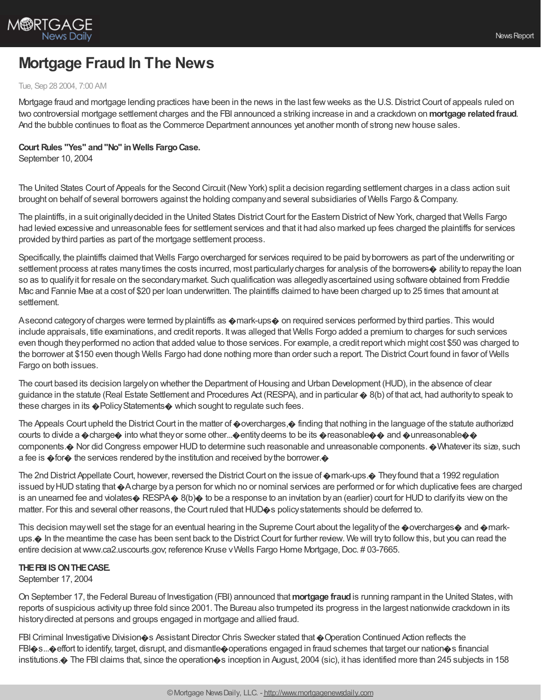# **Mortgage Fraud In The News**

#### Tue, Sep 28 2004, 7:00 AM

Mortgage fraud and mortgage lending practices have been in the news in the last few weeks as the U.S. District Court of appeals ruled on two controversial mortgage settlement charges and the FBI announced a striking increase in and a crackdown on **mortgage relatedfraud**. And the bubble continues to float as the Commerce Department announces yet another month of strong newhouse sales.

# **Court Rules "Yes" and"No" inWells FargoCase.**

September 10, 2004

The United States Court of Appeals for the Second Circuit (NewYork) split a decision regarding settlement charges in a class action suit brought on behalf of several borrowers against the holding companyand several subsidiaries of Wells Fargo &Company.

The plaintiffs, in a suit originally decided in the United States District Court for the Eastern District of New York, charged that Wells Fargo had levied excessive and unreasonable fees for settlement services and that it had also marked up fees charged the plaintiffs for services provided bythird parties as part of the mortgage settlement process.

Specifically, the plaintiffs claimed that Wells Fargo overcharged for services required to be paid byborrowers as part of the underwriting or settlement process at rates many times the costs incurred, most particularly charges for analysis of the borrowers $\diamondsuit$  ability to repay the loan so as to qualifyit for resale on the secondarymarket. Such qualification was allegedlyascertained using software obtained from Freddie Mac and Fannie Mae at a cost of \$20 per loan underwritten. The plaintiffs claimed to have been charged up to 25 times that amount at settlement.

Asecond category of charges were termed by plaintiffs as  $\bullet$  mark-ups $\bullet$  on required services performed by third parties. This would include appraisals, title examinations, and credit reports. Itwas alleged that Wells Forgo added a premium to charges for such services even though theyperformed no action that added value to those services. For example, a credit reportwhich might cost \$50 was charged to the borrower at \$150 even though Wells Fargo had done nothing more than order such a report. The District Court found in favor of Wells Fargo on both issues.

The court based its decision largely on whether the Department of Housing and Urban Development (HUD), in the absence of clear guidance in the statute (Real Estate Settlement and Procedures Act (RESPA), and in particular � 8(b) of that act, had authorityto speak to these charges in its  $\diamondsuit$  Policy Statements $\diamondsuit$  which sought to regulate such fees.

The Appeals Court upheld the District Court in the matter of  $\phi$  overcharges, $\phi$  finding that nothing in the language of the statute authorized courts to divide a  $\circ$  charge $\circ$  into what they or some other... $\circ$  entity deems to be its  $\circ$  reasonable $\circ$  and  $\circ$  unreasonable $\circ$   $\circ$ components. $\circledast$  Nor did Congress empower HUD to determine such reasonable and unreasonable components.  $\circledast$  Whatever its size, such a fee is  $\diamondsuit$  for $\diamondsuit$  the services rendered by the institution and received by the borrower. $\diamondsuit$ 

The 2nd District Appellate Court, however, reversed the District Court on the issue of  $\circ$  mark-ups. $\circ$  They found that a 1992 regulation issued by HUD stating that  $\triangle$  A charge by a person for which no or nominal services are performed or for which duplicative fees are charged is an unearned fee and violates $\circledast$  RESPA $\circledast$  8(b) $\circledast$  to be a response to an invitation by an (earlier) court for HUD to clarify its view on the matter. For this and several other reasons, the Court ruled that HUD�s policy statements should be deferred to.

This decision may well set the stage for an eventual hearing in the Supreme Court about the legality of the  $\bullet$  overcharges $\bullet$  and  $\bullet$  markups. $\bullet$  In the meantime the case has been sent back to the District Court for further review. We will try to follow this, but you can read the entire decision at www.ca2.uscourts.gov; reference Kruse vWells Fargo Home Mortgage, Doc. # 03-7665.

## **THEFBI ISONTHECASE.**

September 17, 2004

On September 17, the Federal Bureau of Investigation (FBI) announced that mortgage fraud is running rampant in the United States, with reports of suspicious activityup three fold since 2001. The Bureau also trumpeted its progress in the largest nationwide crackdown in its historydirected at persons and groups engaged in mortgage and allied fraud.

FBI Criminal Investigative Division  $\circ$ s Assistant Director Chris Swecker stated that  $\circ$  Operation Continued Action reflects the FBI�s...�effort to identify, target, disrupt, and dismantle�operations engaged in fraud schemes that target our nation�s financial institutions. $\bullet$  The FBI claims that, since the operation $\bullet$ s inception in August, 2004 (sic), it has identified more than 245 subjects in 158